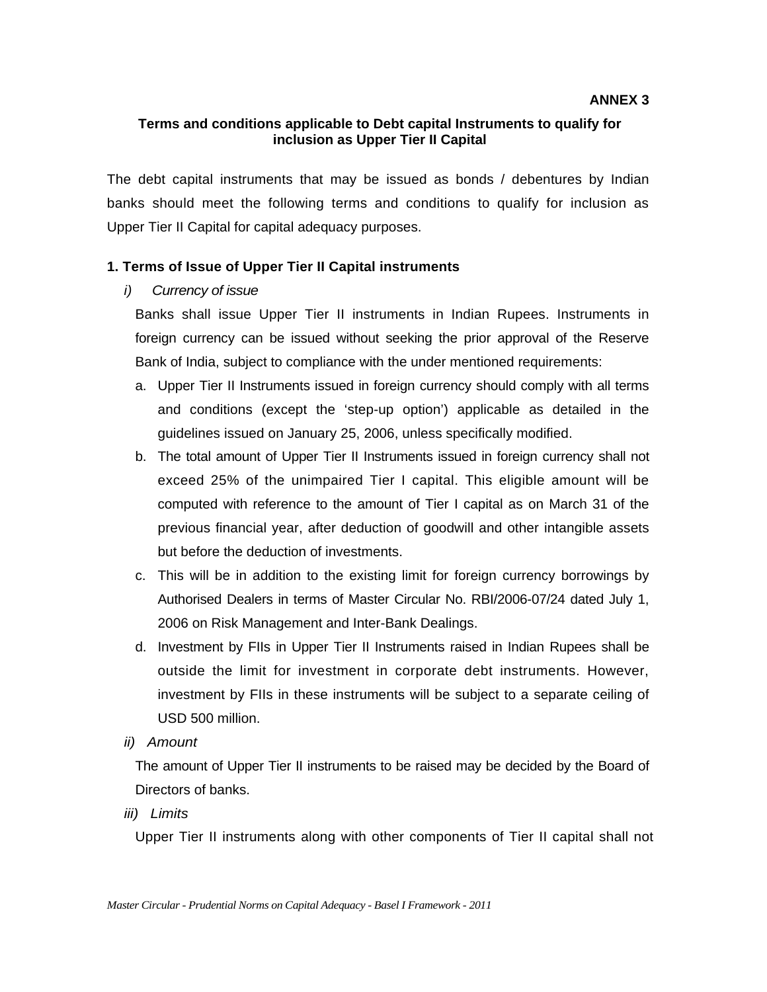### **Terms and conditions applicable to Debt capital Instruments to qualify for inclusion as Upper Tier II Capital**

The debt capital instruments that may be issued as bonds / debentures by Indian banks should meet the following terms and conditions to qualify for inclusion as Upper Tier II Capital for capital adequacy purposes.

# **1. Terms of Issue of Upper Tier II Capital instruments**

# *i) Currency of issue*

Banks shall issue Upper Tier II instruments in Indian Rupees. Instruments in foreign currency can be issued without seeking the prior approval of the Reserve Bank of India, subject to compliance with the under mentioned requirements:

- a. Upper Tier II Instruments issued in foreign currency should comply with all terms and conditions (except the 'step-up option') applicable as detailed in the guidelines issued on January 25, 2006, unless specifically modified.
- b. The total amount of Upper Tier II Instruments issued in foreign currency shall not exceed 25% of the unimpaired Tier I capital. This eligible amount will be computed with reference to the amount of Tier I capital as on March 31 of the previous financial year, after deduction of goodwill and other intangible assets but before the deduction of investments.
- c. This will be in addition to the existing limit for foreign currency borrowings by Authorised Dealers in terms of Master Circular No. RBI/2006-07/24 dated July 1, 2006 on Risk Management and Inter-Bank Dealings.
- d. Investment by FIIs in Upper Tier II Instruments raised in Indian Rupees shall be outside the limit for investment in corporate debt instruments. However, investment by FIIs in these instruments will be subject to a separate ceiling of USD 500 million.
- *ii) Amount*

The amount of Upper Tier II instruments to be raised may be decided by the Board of Directors of banks.

*iii) Limits* 

Upper Tier II instruments along with other components of Tier II capital shall not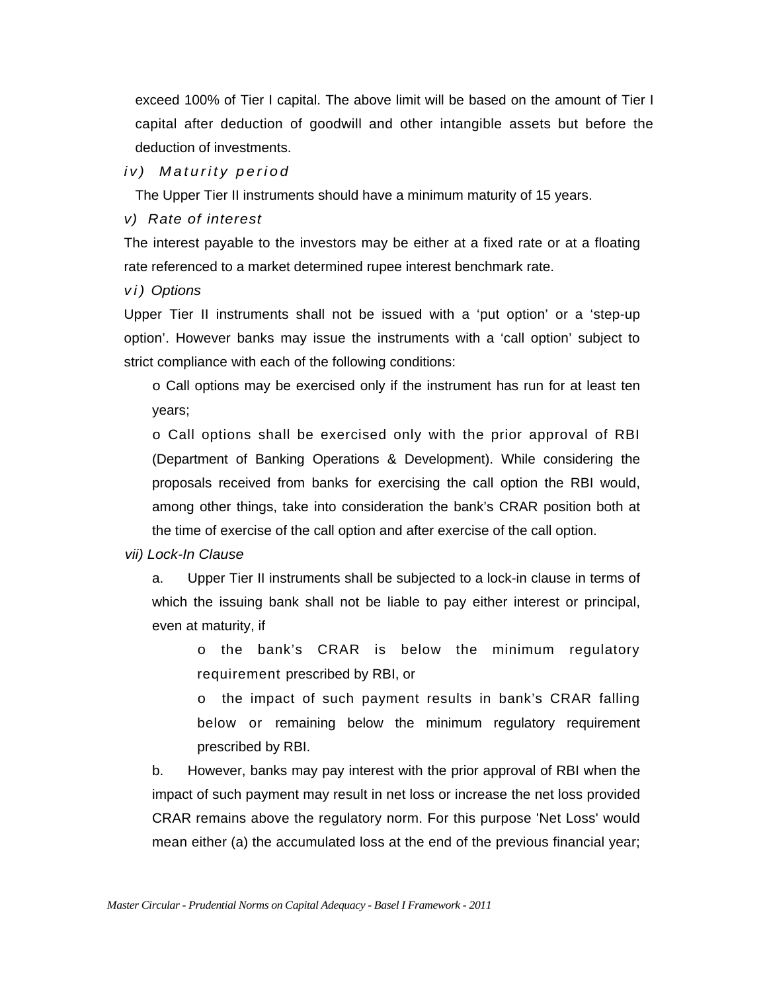exceed 100% of Tier I capital. The above limit will be based on the amount of Tier I capital after deduction of goodwill and other intangible assets but before the deduction of investments.

#### *iv) Maturity period*

The Upper Tier II instruments should have a minimum maturity of 15 years.

#### *v) Rate of interest*

The interest payable to the investors may be either at a fixed rate or at a floating rate referenced to a market determined rupee interest benchmark rate.

#### *v i ) Options*

Upper Tier II instruments shall not be issued with a 'put option' or a 'step-up option'. However banks may issue the instruments with a 'call option' subject to strict compliance with each of the following conditions:

o Call options may be exercised only if the instrument has run for at least ten years;

o Call options shall be exercised only with the prior approval of RBI (Department of Banking Operations & Development). While considering the proposals received from banks for exercising the call option the RBI would, among other things, take into consideration the bank's CRAR position both at the time of exercise of the call option and after exercise of the call option.

#### *vii) Lock-In Clause*

a. Upper Tier II instruments shall be subjected to a lock-in clause in terms of which the issuing bank shall not be liable to pay either interest or principal, even at maturity, if

o the bank's CRAR is below the minimum regulatory requirement prescribed by RBI, or

o the impact of such payment results in bank's CRAR falling below or remaining below the minimum regulatory requirement prescribed by RBI.

b. However, banks may pay interest with the prior approval of RBI when the impact of such payment may result in net loss or increase the net loss provided CRAR remains above the regulatory norm. For this purpose 'Net Loss' would mean either (a) the accumulated loss at the end of the previous financial year;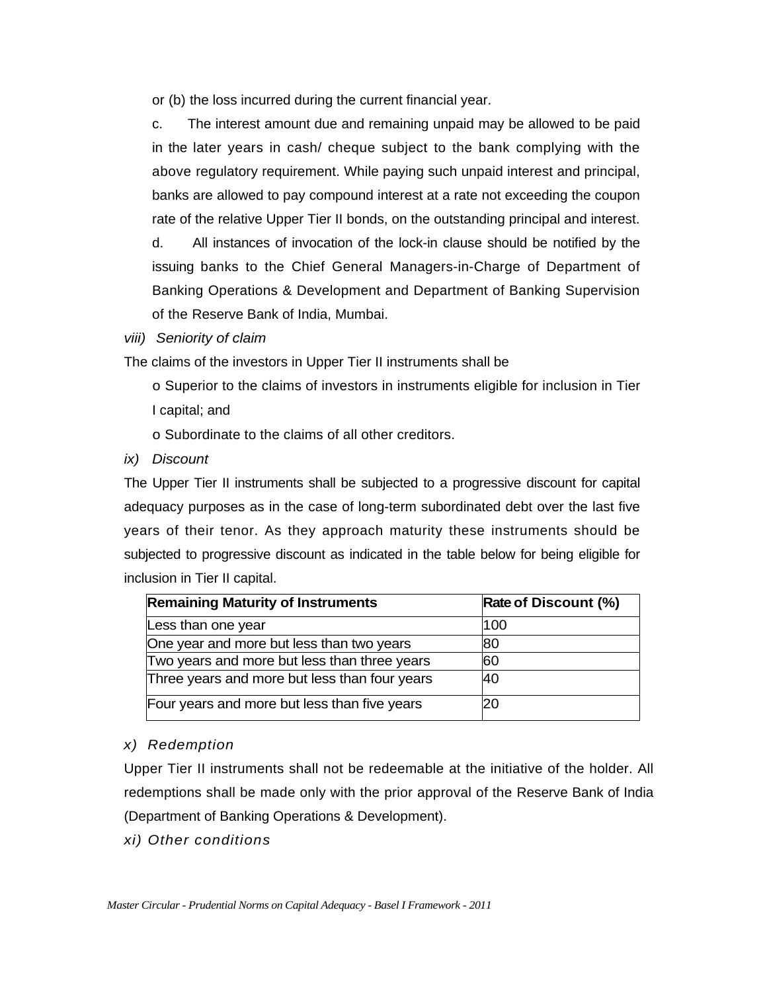or (b) the loss incurred during the current financial year.

c. The interest amount due and remaining unpaid may be allowed to be paid in the later years in cash/ cheque subject to the bank complying with the above regulatory requirement. While paying such unpaid interest and principal, banks are allowed to pay compound interest at a rate not exceeding the coupon rate of the relative Upper Tier II bonds, on the outstanding principal and interest.

d. All instances of invocation of the lock-in clause should be notified by the issuing banks to the Chief General Managers-in-Charge of Department of Banking Operations & Development and Department of Banking Supervision of the Reserve Bank of India, Mumbai.

*viii) Seniority of claim* 

The claims of the investors in Upper Tier II instruments shall be

o Superior to the claims of investors in instruments eligible for inclusion in Tier I capital; and

o Subordinate to the claims of all other creditors.

*ix) Discount* 

The Upper Tier II instruments shall be subjected to a progressive discount for capital adequacy purposes as in the case of long-term subordinated debt over the last five years of their tenor. As they approach maturity these instruments should be subjected to progressive discount as indicated in the table below for being eligible for inclusion in Tier II capital.

| <b>Remaining Maturity of Instruments</b>      | Rate of Discount (%) |
|-----------------------------------------------|----------------------|
| Less than one year                            | 100                  |
| One year and more but less than two years     | 80                   |
| Two years and more but less than three years  | 60                   |
| Three years and more but less than four years | 40                   |
| Four years and more but less than five years  | 20                   |

# *x) Redemption*

Upper Tier II instruments shall not be redeemable at the initiative of the holder. All redemptions shall be made only with the prior approval of the Reserve Bank of India (Department of Banking Operations & Development).

*xi) Other conditions*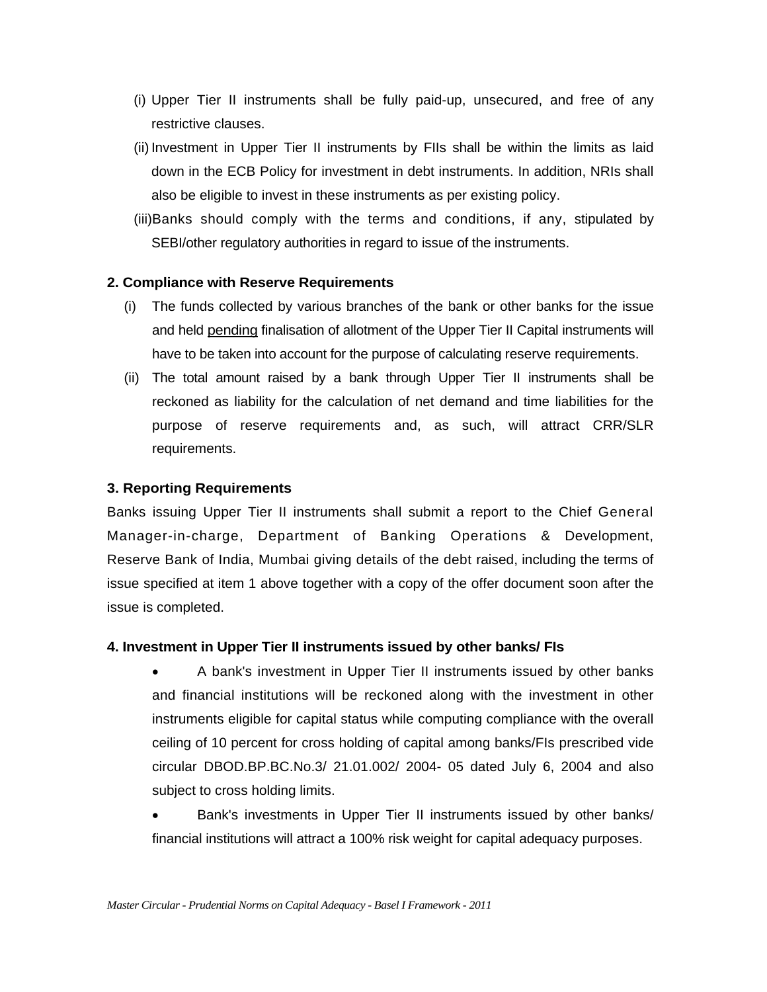- (i) Upper Tier II instruments shall be fully paid-up, unsecured, and free of any restrictive clauses.
- (ii) Investment in Upper Tier II instruments by FIIs shall be within the limits as laid down in the ECB Policy for investment in debt instruments. In addition, NRIs shall also be eligible to invest in these instruments as per existing policy.
- (iii) Banks should comply with the terms and conditions, if any, stipulated by SEBI/other regulatory authorities in regard to issue of the instruments.

### **2. Compliance with Reserve Requirements**

- (i) The funds collected by various branches of the bank or other banks for the issue and held pending finalisation of allotment of the Upper Tier II Capital instruments will have to be taken into account for the purpose of calculating reserve requirements.
- (ii) The total amount raised by a bank through Upper Tier II instruments shall be reckoned as liability for the calculation of net demand and time liabilities for the purpose of reserve requirements and, as such, will attract CRR/SLR requirements.

### **3. Reporting Requirements**

Banks issuing Upper Tier II instruments shall submit a report to the Chief General Manager-in-charge, Department of Banking Operations & Development, Reserve Bank of India, Mumbai giving details of the debt raised, including the terms of issue specified at item 1 above together with a copy of the offer document soon after the issue is completed.

### **4. Investment in Upper Tier II instruments issued by other banks/ FIs**

- A bank's investment in Upper Tier II instruments issued by other banks and financial institutions will be reckoned along with the investment in other instruments eligible for capital status while computing compliance with the overall ceiling of 10 percent for cross holding of capital among banks/FIs prescribed vide circular DBOD.BP.BC.No.3/ 21.01.002/ 2004- 05 dated July 6, 2004 and also subject to cross holding limits.
- Bank's investments in Upper Tier II instruments issued by other banks/ financial institutions will attract a 100% risk weight for capital adequacy purposes.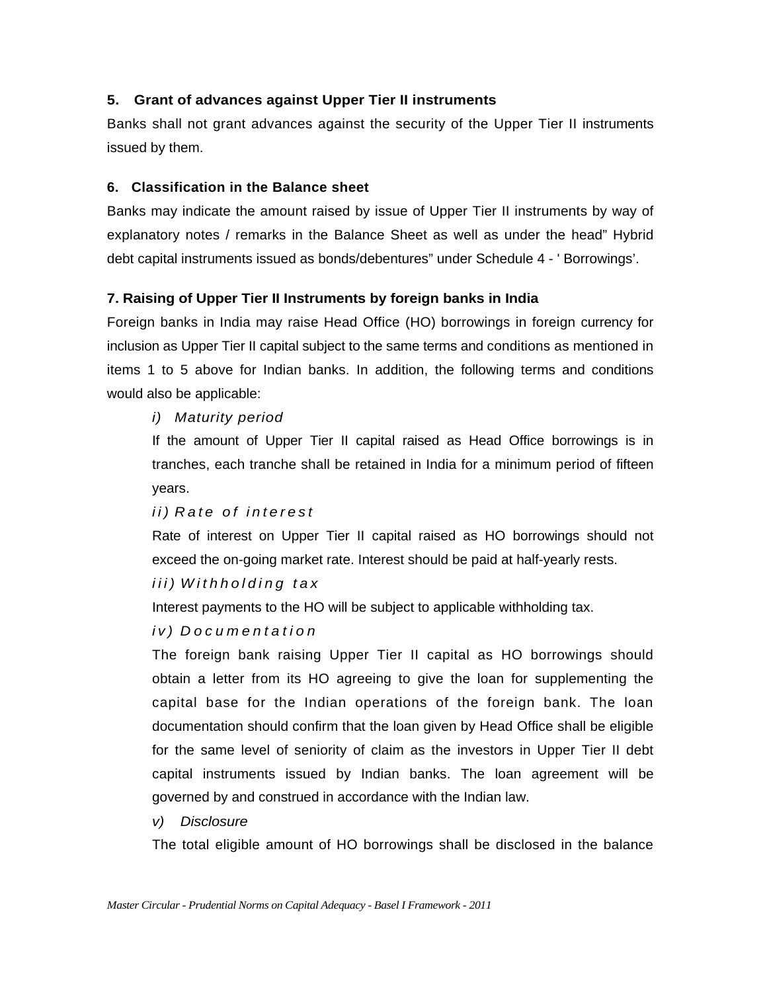# **5. Grant of advances against Upper Tier II instruments**

Banks shall not grant advances against the security of the Upper Tier II instruments issued by them.

### **6. Classification in the Balance sheet**

Banks may indicate the amount raised by issue of Upper Tier II instruments by way of explanatory notes / remarks in the Balance Sheet as well as under the head" Hybrid debt capital instruments issued as bonds/debentures" under Schedule 4 - ' Borrowings'.

# **7. Raising of Upper Tier II Instruments by foreign banks in India**

Foreign banks in India may raise Head Office (HO) borrowings in foreign currency for inclusion as Upper Tier II capital subject to the same terms and conditions as mentioned in items 1 to 5 above for Indian banks. In addition, the following terms and conditions would also be applicable:

# *i) Maturity period*

If the amount of Upper Tier II capital raised as Head Office borrowings is in tranches, each tranche shall be retained in India for a minimum period of fifteen years.

### *ii) Rate of interest*

Rate of interest on Upper Tier II capital raised as HO borrowings should not exceed the on-going market rate. Interest should be paid at half-yearly rests.

# *iii) Withholding tax*

Interest payments to the HO will be subject to applicable withholding tax.

# *iv) Documentation*

The foreign bank raising Upper Tier II capital as HO borrowings should obtain a letter from its HO agreeing to give the loan for supplementing the capital base for the Indian operations of the foreign bank. The loan documentation should confirm that the loan given by Head Office shall be eligible for the same level of seniority of claim as the investors in Upper Tier II debt capital instruments issued by Indian banks. The loan agreement will be governed by and construed in accordance with the Indian law.

### *v) Disclosure*

The total eligible amount of HO borrowings shall be disclosed in the balance